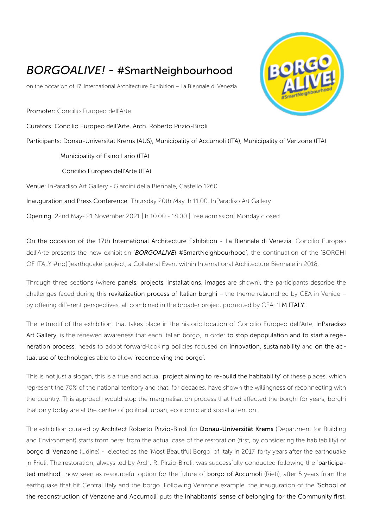## *BORGOALIVE!* - #SmartNeighbourhood

on the occasion of 17. International Architecture Exhibition – La Biennale di Venezia

Promoter: Concilio Europeo dell'Arte

Curators: Concilio Europeo dell'Arte, Arch. Roberto Pirzio-Biroli

Participants: Donau-Universität Krems (AUS), Municipality of Accumoli (ITA), Municipality of Venzone (ITA)

Municipality of Esino Lario (ITA)

Concilio Europeo dell'Arte (ITA)

Venue: InParadiso Art Gallery - Giardini della Biennale, Castello 1260

Inauguration and Press Conference: Thursday 20th May, h 11.00, InParadiso Art Gallery

Opening: 22nd May- 21 November 2021 | h 10.00 - 18.00 | free admission| Monday closed

On the occasion of the 17th International Architecture Exhibition - La Biennale di Venezia, Concilio Europeo dell'Arte presents the new exhibition '*BORGOALIVE!* #SmartNeighbourhood', the continuation of the 'BORGHI OF ITALY #no(f)earthquake' project, a Collateral Event within International Architecture Biennale in 2018.

Through three sections (where panels, projects, installations, images are shown), the participants describe the challenges faced during this revitalization process of Italian borghi – the theme relaunched by CEA in Venice – by offering different perspectives, all combined in the broader project promoted by CEA: 'I M ITALY'.

The leitmotif of the exhibition, that takes place in the historic location of Concilio Europeo dell'Arte, InParadiso Art Gallery, is the renewed awareness that each Italian borgo, in order to stop depopulation and to start a regeneration process, needs to adopt forward-looking policies focused on innovation, sustainability and on the actual use of technologies able to allow 'reconceiving the borgo'.

This is not just a slogan, this is a true and actual 'project aiming to re-build the habitability' of these places, which represent the 70% of the national territory and that, for decades, have shown the willingness of reconnecting with the country. This approach would stop the marginalisation process that had affected the borghi for years, borghi that only today are at the centre of political, urban, economic and social attention.

The exhibition curated by Architect Roberto Pirzio-Biroli for Donau-Universität Krems (Department for Building and Environment) starts from here: from the actual case of the restoration (first, by considering the habitability) of borgo di Venzone (Udine) - elected as the 'Most Beautiful Borgo' of Italy in 2017, forty years after the earthquake in Friuli. The restoration, always led by Arch. R. Pirzio-Biroli, was successfully conducted following the 'participated method', now seen as resourceful option for the future of borgo of Accumoli (Rieti), after 5 years from the earthquake that hit Central Italy and the borgo. Following Venzone example, the inauguration of the 'School of the reconstruction of Venzone and Accumoli' puts the inhabitants' sense of belonging for the Community first,